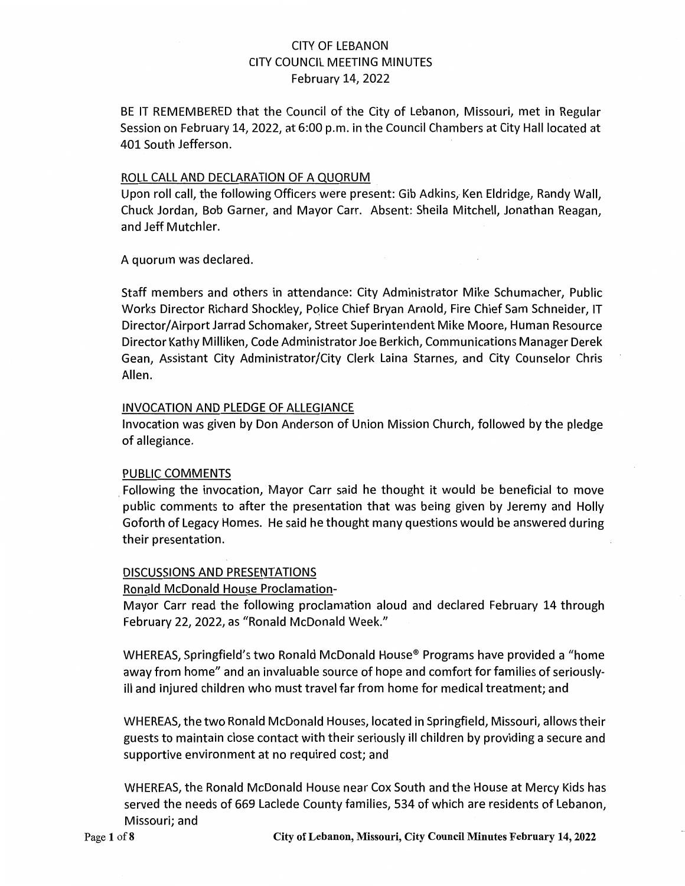## CITY OF LEBANON CITY COUNCIL MEETING MINUTES February 14, 2022

BE IT REMEMBERED that the Council of the City of Lebanon, Missouri, met in Regular Session on February 14, 2022, at 6:00 p.m. in the Council Chambers at City Hall located at 401 South Jefferson.

#### ROLL CALL AND DECLARATION OF A QUORUM

Upon roll call, the following Officers were present: Gib Adkins, Ken Eldridge, Randy Wall, Chuck Jordan, Bob Garner, and Mayor Carr. Absent: Sheila Mitchell, Jonathan Reagan, and Jeff Mutchler.

A quorum was declared.

Staff members and others in attendance: City Administrator Mike Schumacher, Public Works Director Richard Shockley, Police Chief Bryan Arnold, Fire Chief Sam Schneider, IT Director/ Airport Jarrad Schomaker, Street Superintendent Mike Moore, Human Resource Director Kathy Milliken, Code Administrator Joe Berkich, Communications Manager Derek Gean, Assistant City Administrator/City Clerk Laina Starnes, and City Counselor Chris Allen.

#### INVOCATION AND PLEDGE OF ALLEGIANCE

Invocation was given by Don Anderson of Union Mission Church, followed by the pledge of allegiance.

#### PUBLIC COMMENTS

Following the invocation, Mayor Carr said he thought it would be beneficial to move public comments to after the presentation that was being given by Jeremy and Holly Goforth of Legacy Homes. He said he thought many questions would be answered during their presentation.

### DISCUSSIONS AND PRESENTATIONS

#### Ronald McDonald House Proclamation-

Mayor Carr read the following proclamation aloud and declared February 14 through February 22, 2022, as "Ronald McDonald Week."

WHEREAS, Springfield's two Ronald McDonald House® Programs have provided a "home away from home" and an invaluable source of hope and comfort for families of seriouslyill and injured children who must travel far from home for medical treatment; and

WHEREAS, the two Ronald McDonald Houses, located in Springfield, Missouri, allows their guests to maintain close contact with their seriously ill children by providing a secure and supportive environment at no required cost; and

WHEREAS, the Ronald McDonald House near Cox South and the House at Mercy Kids has served the needs of 669 Laclede County families, 534 of which are residents of Lebanon, Missouri; and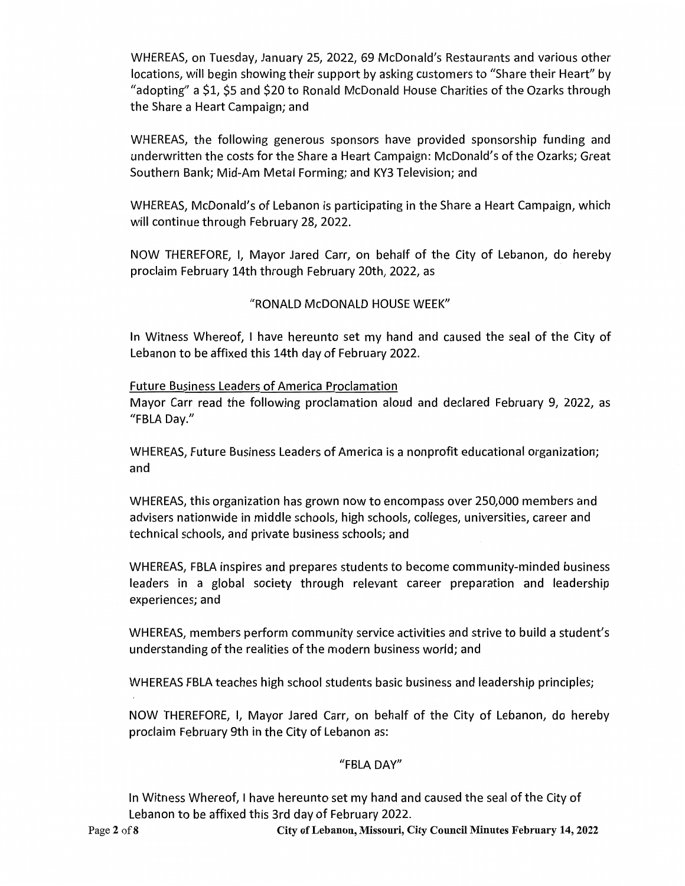WHEREAS, on Tuesday, January 25, 2022, 69 McDonald's Restaurants and various other locations, will begin showing their support by asking customers to "Share their Heart" by "adopting" a \$1, \$5 and \$20 to Ronald McDonald House Charities of the Ozarks through the Share a Heart Campaign; and

WHEREAS, the following generous sponsors have provided sponsorship funding and underwritten the costs for the Share a Heart Campaign: McDonald's of the Ozarks; Great Southern Bank; Mid-Am Metal Forming; and KY3 Television; and

WHEREAS, McDonald's of Lebanon is participating in the Share a Heart Campaign, which will continue through February 28, 2022.

NOW THEREFORE, I, Mayor Jared Carr, on behalf of the City of Lebanon, do hereby proclaim February 14th through February 20th, 2022, as

## "RONALD McDONALD HOUSE WEEK"

In Witness Whereof, I have hereunto set my hand and caused the seal of the City of Lebanon to be affixed this 14th day of February 2022.

Future Business Leaders of America Proclamation Mayor Carr read the following proclamation aloud and declared February 9, 2022, as "FBLA Day."

WHEREAS, Future Business Leaders of America is a nonprofit educational organization; and

WHEREAS, this organization has grown now to encompass over 250,000 members and advisers nationwide in middle schools, high schools, colleges, universities, career and technical schools, and private business schools; and

WHEREAS, FBLA inspires and prepares students to become community-minded business leaders in a global society through relevant career preparation and leadership experiences; and

WHEREAS, members perform community service activities and strive to build a student's understanding of the realities of the modern business world; and

WHEREAS FBLA teaches high school students basic business and leadership principles;

NOW THEREFORE, I, Mayor Jared Carr, on behalf of the City of Lebanon, do hereby proclaim February 9th in the City of Lebanon as:

### "FBLA DAY"

In Witness Whereof, I have hereunto set my hand and caused the seal of the City of Lebanon to be affixed this 3rd day of February 2022.

Page **2** ofS **City of Lebanon, Missouri, City Council Minutes February 14, 2022**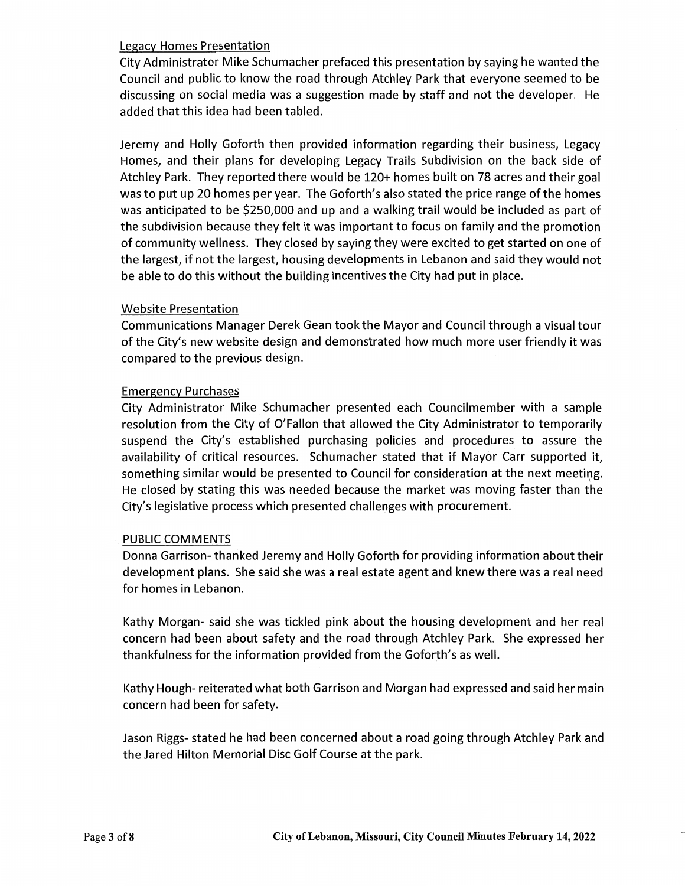#### Legacy Homes Presentation

City Administrator Mike Schumacher prefaced this presentation by saying he wanted the Council and public to know the road through Atchley Park that everyone seemed to be discussing on social media was a suggestion made by staff and not the developer. He added that this idea had been tabled.

Jeremy and Holly Goforth then provided information regarding their business, Legacy Homes, and their plans for developing Legacy Trails Subdivision on the back side of Atchley Park. They reported there would be 120+ homes built on 78 acres and their goal was to put up 20 homes per year. The Goforth's also stated the price range of the homes was anticipated to be \$250,000 and up and a walking trail would be included as part of the subdivision because they felt it was important to focus on family and the promotion of community wellness. They closed by saying they were excited to get started on one of the largest, if not the largest, housing developments in Lebanon and said they would not be able to do this without the building incentives the City had put in place.

#### Website Presentation

Communications Manager Derek Gean took the Mayor and Council through a visual tour of the City's new website design and demonstrated how much more user friendly it was compared to the previous design.

#### Emergency Purchases

City Administrator Mike Schumacher presented each Councilmember with a sample resolution from the City of O'Fallon that allowed the City Administrator to temporarily suspend the City's established purchasing policies and procedures to assure the availability of critical resources. Schumacher stated that if Mayor Carr supported it, something similar would be presented to Council for consideration at the next meeting. He closed by stating this was needed because the market was moving faster than the City's legislative process which presented challenges with procurement.

#### PUBLIC COMMENTS

Donna Garrison- thanked Jeremy and Holly Goforth for providing information about their development plans. She said she was a real estate agent and knew there was a real need for homes in Lebanon.

Kathy Morgan- said she was tickled pink about the housing development and her real concern had been about safety and the road through Atchley Park. She expressed her thankfulness for the information provided from the Goforth's as well.

Kathy Hough- reiterated what both Garrison and Morgan had expressed and said her main concern had been for safety.

Jason Riggs- stated he had been concerned about a road going through Atchley Park and the Jared Hilton Memorial Disc Golf Course at the park.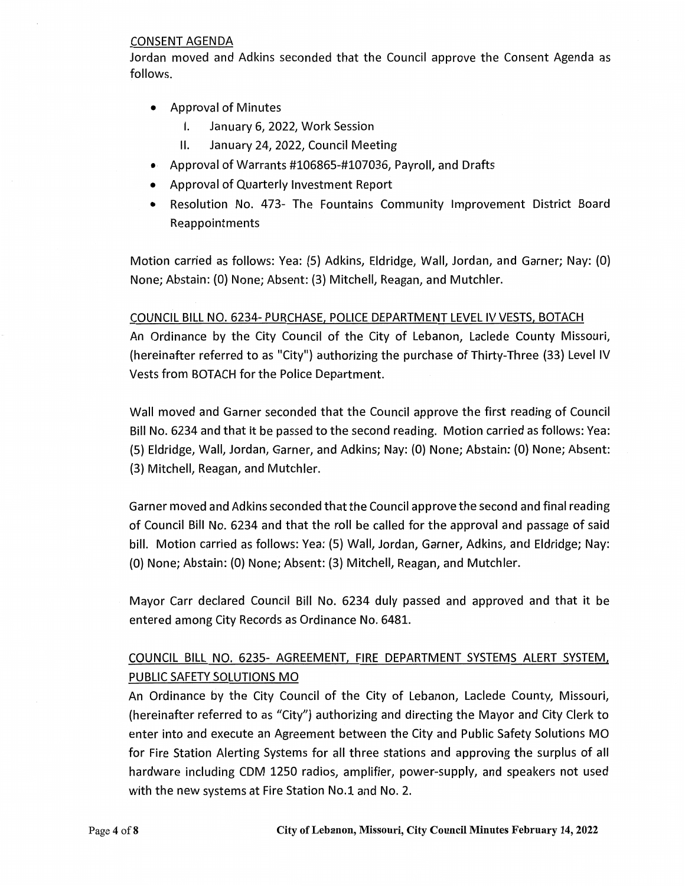#### CONSENT AGENDA

Jordan moved and Adkins seconded that the Council approve the Consent Agenda as follows.

- Approval of Minutes
	- I. January 6, 2022, Work Session
	- II. January 24, 2022, Council Meeting
- Approval of Warrants #106865-#107036, Payroll, and Drafts
- Approval of Quarterly Investment Report
- Resolution No. 473- The Fountains Community Improvement District Board Reappointments

Motion carried as follows: Yea: (5) Adkins, Eldridge, Wall, Jordan, and Garner; Nay: (0) None; Abstain: (0) None; Absent: (3) Mitchell, Reagan, and Mutchler.

#### COUNCIL BILL NO. 6234- PURCHASE, POLICE DEPARTMENT LEVEL IV VESTS, BOTACH

An Ordinance by the City Council of the City of Lebanon, Laclede County Missouri, (hereinafter referred to as "City") authorizing the purchase of Thirty-Three (33) Level IV Vests from BOTACH for the Police Department.

Wall moved and Garner seconded that the Council approve the first reading of Council Bill No. 6234 and that it be passed to the second reading. Motion carried as follows: Yea: (5) Eldridge, Wall, Jordan, Garner, and Adkins; Nay: (0) None; Abstain: (O) None; Absent: (3) Mitchell, Reagan, and Mutchler.

Garner moved and Adkins seconded that the Council approve the second and final reading of Council Bill No. 6234 and that the roll be called for the approval and passage of said bill. Motion carried as follows: Yea: (5) Wall, Jordan, Garner, Adkins, and Eldridge; Nay: (0) None; Abstain: (0) None; Absent: (3) Mitchell, Reagan, and Mutchler.

Mayor Carr declared Council Bill No. 6234 duly passed and approved and that it be entered among City Records as Ordinance No. 6481.

## COUNCIL BILL NO. 6235- AGREEMENT, FIRE DEPARTMENT SYSTEMS ALERT SYSTEM, PUBLIC SAFETY SOLUTIONS MO

An Ordinance by the City Council of the City of Lebanon, Laclede County, Missouri, (hereinafter referred to as "City") authorizing and directing the Mayor and City Clerk to enter into and execute an Agreement between the City and Public Safety Solutions MO for Fire Station Alerting Systems for all three stations and approving the surplus of all hardware including CDM 1250 radios, amplifier, power-supply, and speakers not used with the new systems at Fire Station No.1 and No. 2.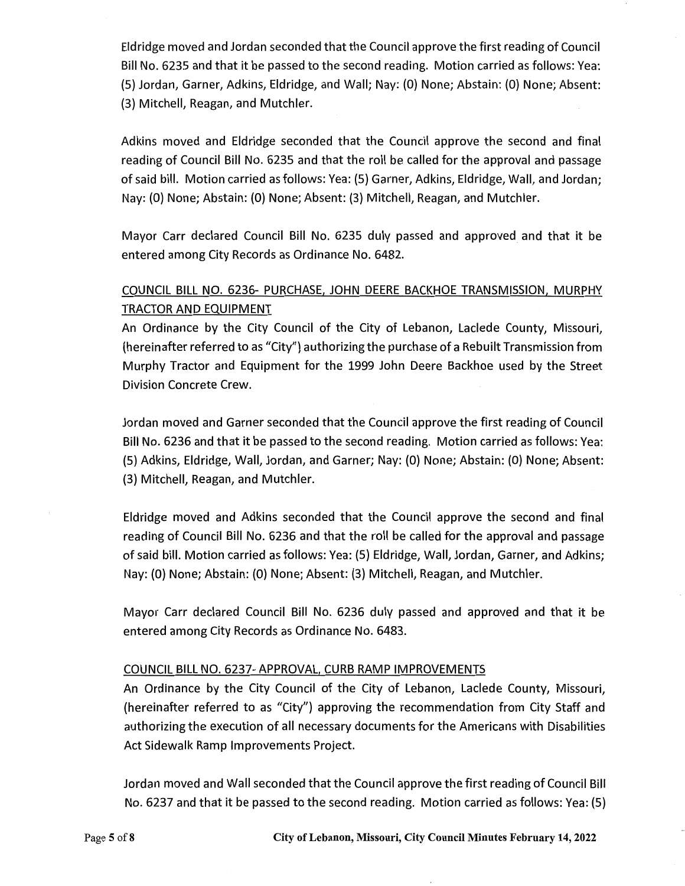Eldridge moved and Jordan seconded that the Council approve the first reading of Council Bill No. 6235 and that it be passed to the second reading. Motion carried as follows: Yea: (5) Jordan, Garner, Adkins, Eldridge, and Wall; Nay: (0) None; Abstain: (0) None; Absent: (3) Mitchell, Reagan, and Mutchler.

Adkins moved and Eldridge seconded that the Council approve the second and final reading of Council Bill No. 6235 and that the roll be called for the approval and passage of said bill. Motion carried as follows: Yea: (5) Garner, Adkins, Eldridge, Wall, and Jordan; Nay: (0) None; Abstain: (0) None; Absent: (3) Mitchell, Reagan, and Mutchler.

Mayor Carr declared Council Bill No. 6235 duly passed and approved and that it be entered among City Records as Ordinance No. 6482.

## COUNCIL BILL NO. 6236- PURCHASE, JOHN DEERE BACKHOE TRANSMISSION, MURPHY TRACTOR AND EQUIPMENT

An Ordinance by the City Council of the City of Lebanon, Laclede County, Missouri, (hereinafter referred to as "City") authorizing the purchase of a Rebuilt Transmission from Murphy Tractor and Equipment for the 1999 John Deere Backhoe used by the Street Division Concrete Crew.

Jordan moved and Garner seconded that the Council approve the first reading of Council Bill No. 6236 and that it be passed to the second reading. Motion carried as follows: Yea: (5) Adkins, Eldridge, Wall, Jordan, and Garner; Nay: (0) None; Abstain: (0) None; Absent: (3) Mitchell, Reagan, and Mutchler.

Eldridge moved and Adkins seconded that the Council approve the second and final reading of Council Bill No. 6236 and that the roll be called for the approval and passage of said bill. Motion carried as follows: Yea: (5) Eldridge, Wall, Jordan, Garner, and Adkins; Nay: (0) None; Abstain: (O) None; Absent: (3) Mitchell, Reagan, and Mutchler.

Mayor Carr declared Council Bill No. 6236 duly passed and approved and that it be entered among City Records as Ordinance No. 6483.

### COUNCIL BILL NO. 6237- APPROVAL, CURB RAMP IMPROVEMENTS

An Ordinance by the City Council of the City of Lebanon, Laclede County, Missouri, (hereinafter referred to as "City") approving the recommendation from City Staff and authorizing the execution of all necessary documents for the Americans with Disabilities Act Sidewalk Ramp Improvements Project.

Jordan moved and Wall seconded that the Council approve the first reading of Council Bill No. 6237 and that it be passed to the second reading. Motion carried as follows: Yea: (5)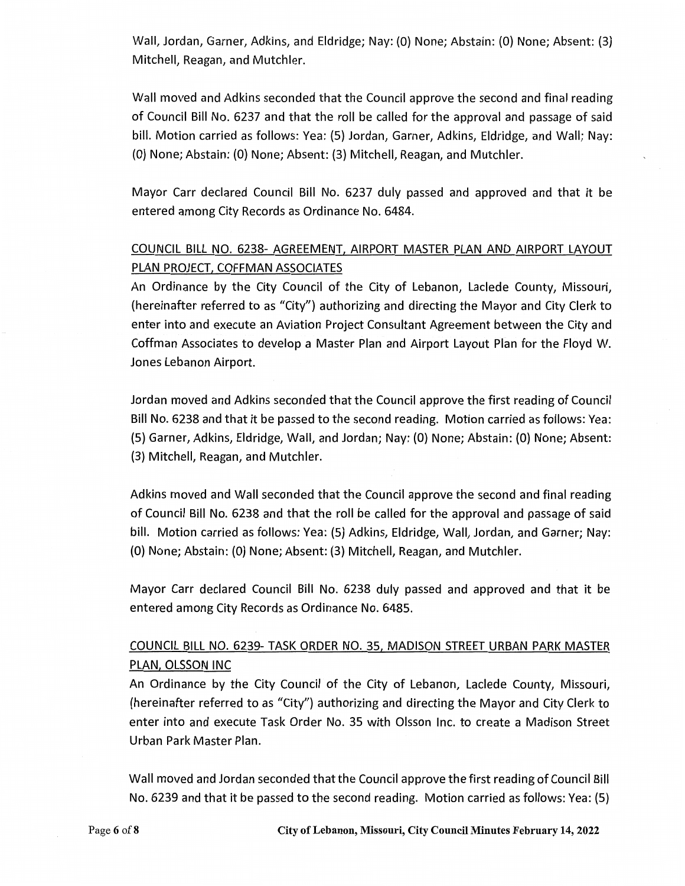Wall, Jordan, Garner, Adkins, and Eldridge; Nay: (O) None; Abstain: (O) None; Absent: (3) Mitchell, Reagan, and Mutchler.

Wall moved and Adkins seconded that the Council approve the second and final reading of Council Bill No. 6237 and that the roll be called for the approval and passage of said bill. Motion carried as follows: Yea: (5) Jordan, Garner, Adkins, Eldridge, and Wall; Nay: (O) None; Abstain: (O) None; Absent: (3) Mitchell, Reagan, and Mutchler.

Mayor Carr declared Council Bill No. 6237 duly passed and approved and that it be entered among City Records as Ordinance No. 6484.

# COUNCIL BILL NO. 6238- AGREEMENT, AIRPORT MASTER PLAN AND AIRPORT LAYOUT PLAN PROJECT, COFFMAN ASSOCIATES

An Ordinance by the City Council of the City of Lebanon, Laclede County, Missouri, (hereinafter referred to as "City") authorizing and directing the Mayor and City Clerk to enter into and execute an Aviation Project Consultant Agreement between the City and Coffman Associates to develop a Master Plan and Airport Layout Plan for the Floyd W. Jones Lebanon Airport.

Jordan moved and Adkins seconded that the Council approve the first reading of Council Bill No. 6238 and that it be passed to the second reading. Motion carried as follows: Yea: (5) Garner, Adkins, Eldridge, Wall, and Jordan; Nay: (O) None; Abstain: (O) None; Absent: (3) Mitchell, Reagan, and Mutchler.

Adkins moved and Wall seconded that the Council approve the second and final reading of Council Bill No. 6238 and that the roll be called for the approval and passage of said bill. Motion carried as follows: Yea: (5) Adkins, Eldridge, Wall, Jordan, and Garner; Nay: (O) None; Abstain: (0) None; Absent: (3) Mitchell, Reagan, and Mutchler.

Mayor Carr declared Council Bill No. 6238 duly passed and approved and that it be entered among City Records as Ordinance No. 6485.

# COUNCIL BILL NO. 6239- TASK ORDER NO. 35, MADISON STREET URBAN PARK MASTER PLAN, OLSSON INC

An Ordinance by the City Council of the City of Lebanon, Laclede County, Missouri, (hereinafter referred to as "City") authorizing and directing the Mayor and City Clerk to enter into and execute Task Order No. 35 with Olsson Inc. to create a Madison Street Urban Park Master Plan.

Wall moved and Jordan seconded that the Council approve the first reading of Council Bill No. 6239 and that it be passed to the second reading. Motion carried as follows: Yea: (5)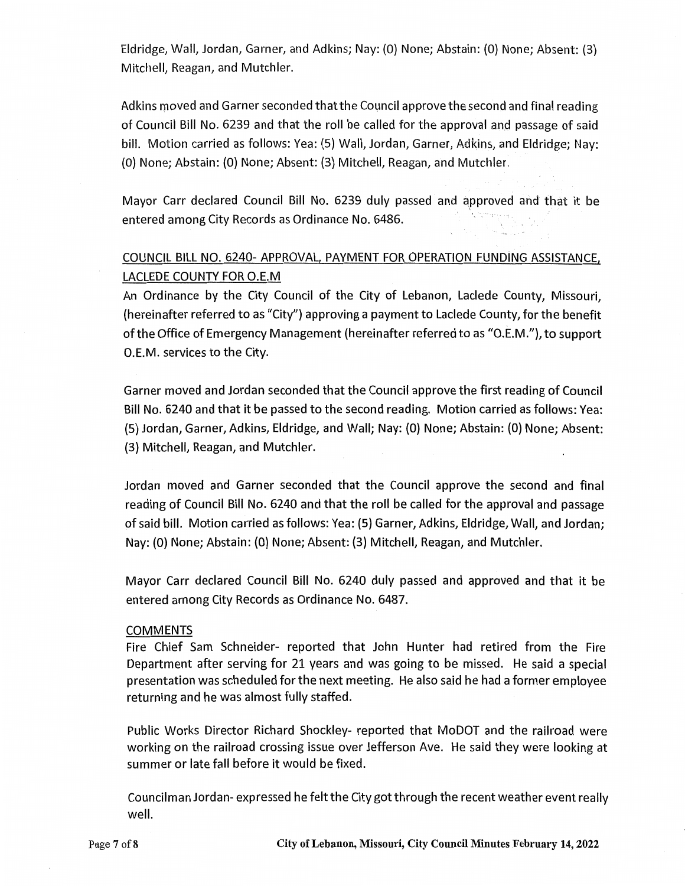Eldridge, Wall, Jordan, Garner, and Adkins; Nay: (0) None; Abstain: (0) None; Absent: (3) Mitchell, Reagan, and Mutchler.

Adkins moved and Garner seconded that the Council approve the second and final reading of Council Bill No. 6239 and that the roll be called for the approval and passage of said bill. Motion carried as follows: Yea: (5) Wall, Jordan, Garner, Adkins, and Eldridge; Nay: (0} None; Abstain: (0) None; Absent: (3) Mitchell, Reagan, and Mutchler.

Mayor Carr declared Council Bill No. 6239 duly passed and approved and that it be entered among City Records as Ordinance No. 6486.

# COUNCIL BILL NO. 6240- APPROVAL, PAYMENT FOR OPERATION FUNDING ASSISTANCE, LACLEDE COUNTY FOR O.E.M

An Ordinance by the City Council of the City of Lebanon, Laclede County, Missouri, (hereinafter referred to as "City") approving a payment to Laclede County, for the benefit of the Office of Emergency Management (hereinafter referred to as "O.E.M."), to support O.E.M. services to the City.

Garner moved and Jordan seconded that the Council approve the first reading of Council Bill No. 6240 and that it be passed to the second reading. Motion carried as follows: Yea: (5) Jordan, Garner, Adkins, Eldridge, and Wall; Nay: (0) None; Abstain: (0) None; Absent: (3) Mitchell, Reagan, and Mutchler.

Jordan moved and Garner seconded that the Council approve the second and final reading of Council Bill No. 6240 and that the roll be called for the approval and passage of said bill. Motion carried as follows: Yea: (5) Garner, Adkins, Eldridge, Wall, and Jordan; Nay: (0} None; Abstain: (0) None; Absent: (3) Mitchell, Reagan, and Mutchler.

Mayor Carr declared Council Bill No. 6240 duly passed and approved and that it be entered among City Records as Ordinance No. 6487.

#### COMMENTS

Fire Chief Sam Schneider- reported that John Hunter had retired from the Fire Department after serving for 21 years and was going to be missed. He said a special presentation was scheduled for the next meeting. He also said he had a former employee returning and he was almost fully staffed.

Public Works Director Richard Shockley- reported that MoDOT and the railroad were working on the railroad crossing issue over Jefferson Ave. He said they were looking at summer or late fall before it would be fixed.

Councilman Jordan- expressed he felt the City got through the recent weather event really well.